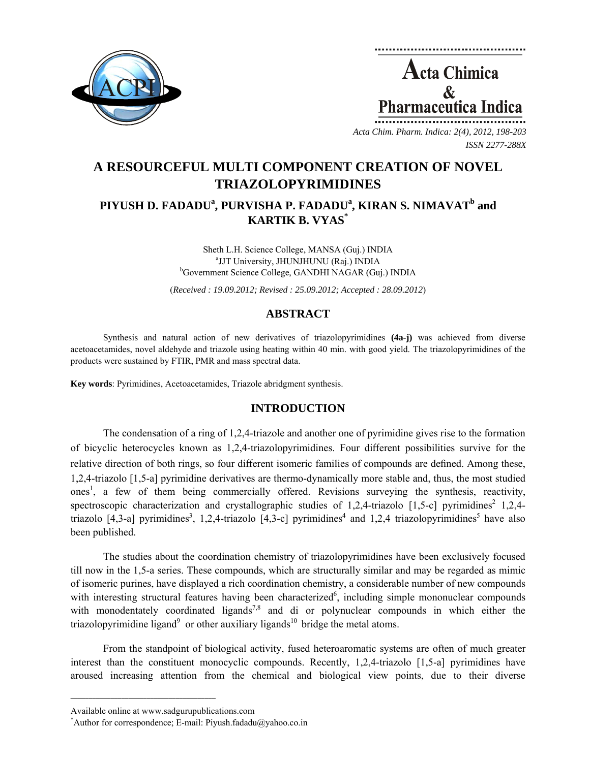

**Acta Chimica**  $\mathcal{R}_{\mathcal{L}}$ Pharmaceutica Ind

*Acta Chim. Pharm. Indica: 2(4), 2012, 198-203 ISSN 2277-288X*

# **A RESOURCEFUL MULTI COMPONENT CREATION OF NOVEL TRIAZOLOPYRIMIDINES**

## PIYUSH D. FADADU<sup>a</sup>, PURVISHA P. FADADU<sup>a</sup>, KIRAN S. NIMAVAT<sup>b</sup> and **KARTIK B. VYAS\***

Sheth L.H. Science College, MANSA (Guj.) INDIA <sup>a</sup>JJT University, JHUNJHUNU (Raj.) INDIA <sup>b</sup>Government Science College, GANDHI NAGAR (Guj.) INDIA

(*Received : 19.09.2012; Revised : 25.09.2012; Accepted : 28.09.2012*)

### **ABSTRACT**

Synthesis and natural action of new derivatives of triazolopyrimidines **(4a-j)** was achieved from diverse acetoacetamides, novel aldehyde and triazole using heating within 40 min. with good yield. The triazolopyrimidines of the products were sustained by FTIR, PMR and mass spectral data.

**Key words**: Pyrimidines, Acetoacetamides, Triazole abridgment synthesis.

#### **INTRODUCTION**

The condensation of a ring of 1,2,4-triazole and another one of pyrimidine gives rise to the formation of bicyclic heterocycles known as 1,2,4-triazolopyrimidines. Four different possibilities survive for the relative direction of both rings, so four different isomeric families of compounds are defined. Among these, 1,2,4-triazolo [1,5-a] pyrimidine derivatives are thermo-dynamically more stable and, thus, the most studied ones<sup>1</sup>, a few of them being commercially offered. Revisions surveying the synthesis, reactivity, spectroscopic characterization and crystallographic studies of 1,2,4-triazolo [1,5-c] pyrimidines<sup>2</sup> 1,2,4triazolo [4,3-a] pyrimidines<sup>3</sup>, 1,2,4-triazolo [4,3-c] pyrimidines<sup>4</sup> and 1,2,4 triazolopyrimidines<sup>5</sup> have also been published.

The studies about the coordination chemistry of triazolopyrimidines have been exclusively focused till now in the 1,5-a series. These compounds, which are structurally similar and may be regarded as mimic of isomeric purines, have displayed a rich coordination chemistry, a considerable number of new compounds with interesting structural features having been characterized<sup>6</sup>, including simple mononuclear compounds with monodentately coordinated ligands<sup>7,8</sup> and di or polynuclear compounds in which either the triazolopyrimidine ligand<sup>9</sup> or other auxiliary ligands<sup>10</sup> bridge the metal atoms.

From the standpoint of biological activity, fused heteroaromatic systems are often of much greater interest than the constituent monocyclic compounds. Recently, 1,2,4-triazolo [1,5-a] pyrimidines have aroused increasing attention from the chemical and biological view points, due to their diverse

**\_\_\_\_\_\_\_\_\_\_\_\_\_\_\_\_\_\_\_\_\_\_\_\_\_\_\_\_\_\_\_\_\_\_\_\_\_\_\_\_**

Available online at www.sadgurupublications.com \*

<sup>\*</sup>Author for correspondence; E-mail: Piyush.fadadu@yahoo.co.in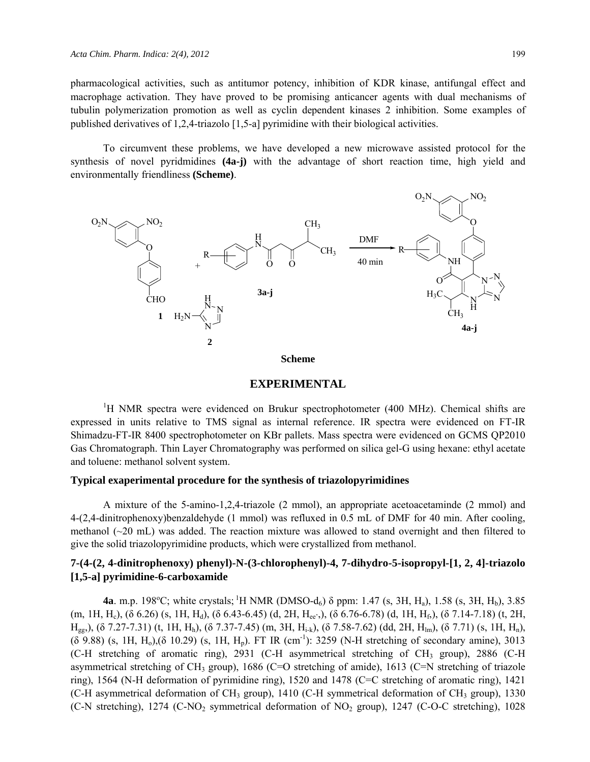pharmacological activities, such as antitumor potency, inhibition of KDR kinase, antifungal effect and macrophage activation. They have proved to be promising anticancer agents with dual mechanisms of tubulin polymerization promotion as well as cyclin dependent kinases 2 inhibition. Some examples of published derivatives of 1,2,4-triazolo [1,5-a] pyrimidine with their biological activities.

To circumvent these problems, we have developed a new microwave assisted protocol for the synthesis of novel pyridmidines **(4a-j)** with the advantage of short reaction time, high yield and environmentally friendliness **(Scheme)**.



**Scheme** 

#### **EXPERIMENTAL**

<sup>1</sup>H NMR spectra were evidenced on Brukur spectrophotometer (400 MHz). Chemical shifts are expressed in units relative to TMS signal as internal reference. IR spectra were evidenced on FT-IR Shimadzu-FT-IR 8400 spectrophotometer on KBr pallets. Mass spectra were evidenced on GCMS QP2010 Gas Chromatograph. Thin Layer Chromatography was performed on silica gel-G using hexane: ethyl acetate and toluene: methanol solvent system.

#### **Typical exaperimental procedure for the synthesis of triazolopyrimidines**

A mixture of the 5-amino-1,2,4-triazole (2 mmol), an appropriate acetoacetaminde (2 mmol) and 4-(2,4-dinitrophenoxy)benzaldehyde (1 mmol) was refluxed in 0.5 mL of DMF for 40 min. After cooling, methanol  $(\sim 20 \text{ mL})$  was added. The reaction mixture was allowed to stand overnight and then filtered to give the solid triazolopyrimidine products, which were crystallized from methanol.

### **7-(4-(2, 4-dinitrophenoxy) phenyl)-N-(3-chlorophenyl)-4, 7-dihydro-5-isopropyl-[1, 2, 4]-triazolo [1,5-a] pyrimidine-6-carboxamide**

**4a**. m.p. 198<sup>o</sup>C; white crystals; <sup>1</sup>H NMR (DMSO-d<sub>6</sub>)  $\delta$  ppm: 1.47 (s, 3H, H<sub>a</sub>), 1.58 (s, 3H, H<sub>b</sub>), 3.85  $(m, 1H, H_c)$ , (δ 6.26) (s, 1H, H<sub>d</sub>), (δ 6.43-6.45) (d, 2H, H<sub>ee'</sub>,), (δ 6.76-6.78) (d, 1H, H<sub>f</sub>), (δ 7.14-7.18) (t, 2H, H<sub>gg</sub>,), (δ 7.27-7.31) (t, 1H, H<sub>h</sub>), (δ 7.37-7.45) (m, 3H, H<sub>i-k</sub>), (δ 7.58-7.62) (dd, 2H, H<sub>lm</sub>), (δ 7.71) (s, 1H, H<sub>n</sub>), (δ 9.88) (s, 1H, H<sub>0</sub>),(δ 10.29) (s, 1H, H<sub>n</sub>). FT IR (cm<sup>-1</sup>): 3259 (N-H stretching of secondary amine), 3013 (C-H stretching of aromatic ring), 2931 (C-H asymmetrical stretching of CH<sub>3</sub> group), 2886 (C-H asymmetrical stretching of CH<sub>3</sub> group), 1686 (C=O stretching of amide), 1613 (C=N stretching of triazole ring), 1564 (N-H deformation of pyrimidine ring), 1520 and 1478 (C=C stretching of aromatic ring), 1421 (C-H asymmetrical deformation of CH<sub>3</sub> group), 1410 (C-H symmetrical deformation of CH<sub>3</sub> group), 1330 (C-N stretching), 1274 (C-NO2 symmetrical deformation of NO2 group), 1247 (C-O-C stretching), 1028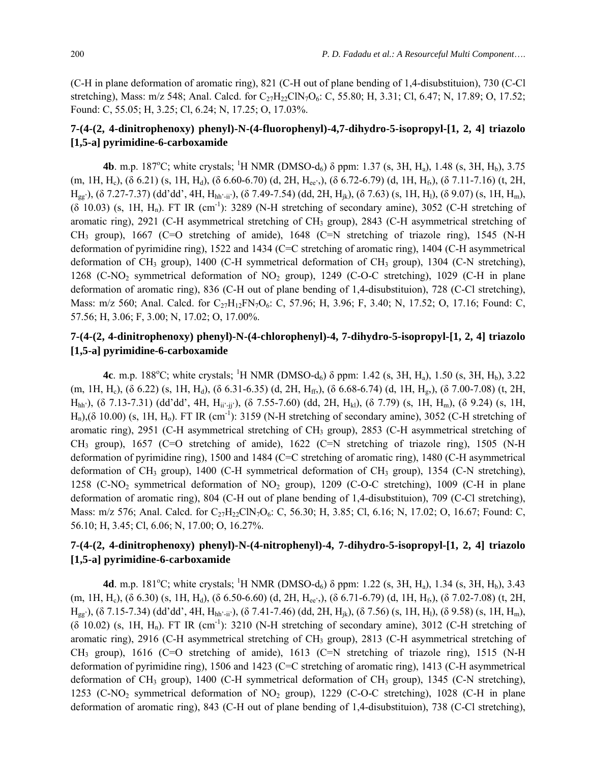(C-H in plane deformation of aromatic ring), 821 (C-H out of plane bending of 1,4-disubstituion), 730 (C-Cl stretching), Mass: m/z 548; Anal. Calcd. for  $C_{27}H_{22}CIN_7O_6$ : C, 55.80; H, 3.31; Cl, 6.47; N, 17.89; O, 17.52; Found: C, 55.05; H, 3.25; Cl, 6.24; N, 17.25; O, 17.03%.

### **7-(4-(2, 4-dinitrophenoxy) phenyl)-N-(4-fluorophenyl)-4,7-dihydro-5-isopropyl-[1, 2, 4] triazolo [1,5-a] pyrimidine-6-carboxamide**

**4b**. m.p. 187<sup>o</sup>C; white crystals; <sup>1</sup>H NMR (DMSO-d<sub>6</sub>)  $\delta$  ppm: 1.37 (s, 3H, H<sub>a</sub>), 1.48 (s, 3H, H<sub>b</sub>), 3.75 (m, 1H, H<sub>c</sub>), (δ 6.21) (s, 1H, H<sub>d</sub>), (δ 6.60-6.70) (d, 2H, H<sub>ee'</sub>,), (δ 6.72-6.79) (d, 1H, H<sub>f</sub>), (δ 7.11-7.16) (t, 2H, Hgg'), (δ 7.27-7.37) (dd'dd', 4H, Hhh'-ii'), (δ 7.49-7.54) (dd, 2H, Hjk), (δ 7.63) (s, 1H, Hl), (δ 9.07) (s, 1H, Hm), (δ 10.03) (s, 1H, H<sub>n</sub>). FT IR (cm<sup>-1</sup>): 3289 (N-H stretching of secondary amine), 3052 (C-H stretching of aromatic ring), 2921 (C-H asymmetrical stretching of CH<sub>3</sub> group), 2843 (C-H asymmetrical stretching of CH<sub>3</sub> group), 1667 (C=O stretching of amide), 1648 (C=N stretching of triazole ring), 1545 (N-H deformation of pyrimidine ring), 1522 and 1434 (C=C stretching of aromatic ring), 1404 (C-H asymmetrical deformation of CH<sub>3</sub> group), 1400 (C-H symmetrical deformation of CH<sub>3</sub> group), 1304 (C-N stretching), 1268 (C-NO<sub>2</sub> symmetrical deformation of NO<sub>2</sub> group), 1249 (C-O-C stretching), 1029 (C-H in plane deformation of aromatic ring), 836 (C-H out of plane bending of 1,4-disubstituion), 728 (C-Cl stretching), Mass: m/z 560; Anal. Calcd. for C<sub>27</sub>H<sub>12</sub>FN<sub>7</sub>O<sub>6</sub>: C, 57.96; H, 3.96; F, 3.40; N, 17.52; O, 17.16; Found: C, 57.56; H, 3.06; F, 3.00; N, 17.02; O, 17.00%.

### **7-(4-(2, 4-dinitrophenoxy) phenyl)-N-(4-chlorophenyl)-4, 7-dihydro-5-isopropyl-[1, 2, 4] triazolo [1,5-a] pyrimidine-6-carboxamide**

**4c**. m.p. 188<sup>o</sup>C; white crystals; <sup>1</sup>H NMR (DMSO-d<sub>6</sub>)  $\delta$  ppm: 1.42 (s, 3H, H<sub>a</sub>), 1.50 (s, 3H, H<sub>b</sub>), 3.22 (m, 1H, H<sub>e</sub>), (δ 6.22) (s, 1H, H<sub>d</sub>), (δ 6.31-6.35) (d, 2H, H<sub>ff</sub>,), (δ 6.68-6.74) (d, 1H, H<sub>g</sub>,), (δ 7.00-7.08) (t, 2H,  $H<sub>hh'</sub>$ ), (δ 7.13-7.31) (dd'dd', 4H,  $H<sub>ii'</sub>$ <sub>-ii'</sub>), (δ 7.55-7.60) (dd, 2H,  $H<sub>kl</sub>$ ), (δ 7.79) (s, 1H,  $H<sub>m</sub>$ ), (δ 9.24) (s, 1H,  $H_n$ ),(δ 10.00) (s, 1H,  $H_0$ ). FT IR (cm<sup>-1</sup>): 3159 (N-H stretching of secondary amine), 3052 (C-H stretching of aromatic ring), 2951 (C-H asymmetrical stretching of CH<sub>3</sub> group), 2853 (C-H asymmetrical stretching of CH3 group), 1657 (C=O stretching of amide), 1622 (C=N stretching of triazole ring), 1505 (N-H deformation of pyrimidine ring), 1500 and 1484 (C=C stretching of aromatic ring), 1480 (C-H asymmetrical deformation of CH<sub>3</sub> group), 1400 (C-H symmetrical deformation of CH<sub>3</sub> group), 1354 (C-N stretching), 1258 (C-NO2 symmetrical deformation of NO2 group), 1209 (C-O-C stretching), 1009 (C-H in plane deformation of aromatic ring), 804 (C-H out of plane bending of 1,4-disubstituion), 709 (C-Cl stretching), Mass: m/z 576; Anal. Calcd. for  $C_{27}H_{22}CIN_7O_6$ : C, 56.30; H, 3.85; Cl, 6.16; N, 17.02; O, 16.67; Found: C, 56.10; H, 3.45; Cl, 6.06; N, 17.00; O, 16.27%.

## **7-(4-(2, 4-dinitrophenoxy) phenyl)-N-(4-nitrophenyl)-4, 7-dihydro-5-isopropyl-[1, 2, 4] triazolo [1,5-a] pyrimidine-6-carboxamide**

**4d**. m.p. 181<sup>o</sup>C; white crystals; <sup>1</sup>H NMR (DMSO-d<sub>6</sub>)  $\delta$  ppm: 1.22 (s, 3H, H<sub>a</sub>), 1.34 (s, 3H, H<sub>b</sub>), 3.43 (m, 1H, Hc), (δ 6.30) (s, 1H, Hd), (δ 6.50-6.60) (d, 2H, Hee',), (δ 6.71-6.79) (d, 1H, Hf,), (δ 7.02-7.08) (t, 2H,  $H_{gg'}$ ), (δ 7.15-7.34) (dd'dd', 4H,  $H_{hh'-ii'}$ ), (δ 7.41-7.46) (dd, 2H,  $H_{ik}$ ), (δ 7.56) (s, 1H,  $H_l$ ), (δ 9.58) (s, 1H,  $H_m$ ),  $(6\ 10.02)$  (s, 1H, H<sub>n</sub>). FT IR (cm<sup>-1</sup>): 3210 (N-H stretching of secondary amine), 3012 (C-H stretching of aromatic ring), 2916 (C-H asymmetrical stretching of CH<sub>3</sub> group), 2813 (C-H asymmetrical stretching of CH<sub>3</sub> group), 1616 (C=O stretching of amide), 1613 (C=N stretching of triazole ring), 1515 (N-H deformation of pyrimidine ring), 1506 and 1423 (C=C stretching of aromatic ring), 1413 (C-H asymmetrical deformation of CH<sub>3</sub> group), 1400 (C-H symmetrical deformation of CH<sub>3</sub> group), 1345 (C-N stretching), 1253 (C-NO2 symmetrical deformation of NO2 group), 1229 (C-O-C stretching), 1028 (C-H in plane deformation of aromatic ring), 843 (C-H out of plane bending of 1,4-disubstituion), 738 (C-Cl stretching),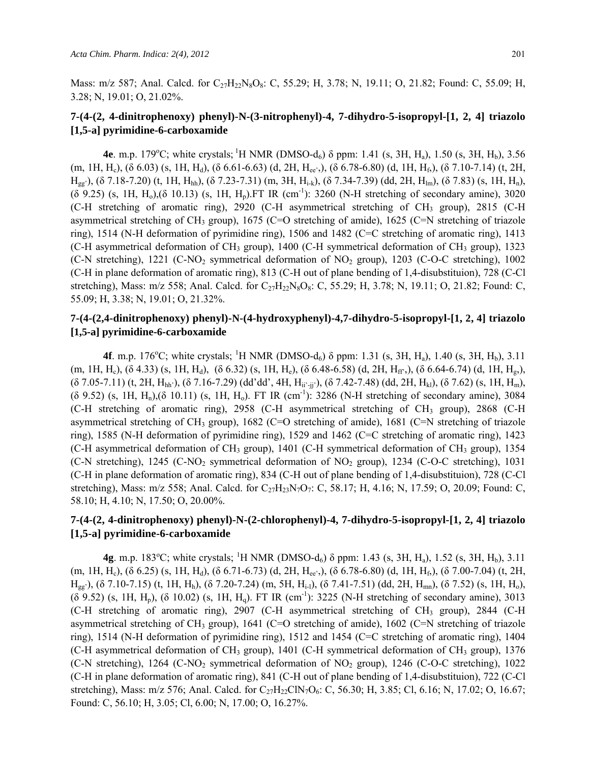Mass: m/z 587; Anal. Calcd. for  $C_{27}H_{22}N_8O_8$ : C, 55.29; H, 3.78; N, 19.11; O, 21.82; Found: C, 55.09; H, 3.28; N, 19.01; O, 21.02%.

### **7-(4-(2, 4-dinitrophenoxy) phenyl)-N-(3-nitrophenyl)-4, 7-dihydro-5-isopropyl-[1, 2, 4] triazolo [1,5-a] pyrimidine-6-carboxamide**

**4e**. m.p. 179°C; white crystals; <sup>1</sup>H NMR (DMSO-d<sub>6</sub>)  $\delta$  ppm: 1.41 (s, 3H, H<sub>a</sub>), 1.50 (s, 3H, H<sub>b</sub>), 3.56 (m, 1H, H<sub>c</sub>), (δ 6.03) (s, 1H, H<sub>d</sub>), (δ 6.61-6.63) (d, 2H, H<sub>ee'</sub>,), (δ 6.78-6.80) (d, 1H, H<sub>f</sub>), (δ 7.10-7.14) (t, 2H,  $H_{gg'}$ ), (δ 7.18-7.20) (t, 1H,  $H_{hh}$ ), (δ 7.23-7.31) (m, 3H,  $H_{i-k}$ ), (δ 7.34-7.39) (dd, 2H,  $H_{lm}$ ), (δ 7.83) (s, 1H,  $H_n$ ),  $(6\ 9.25)$  (s, 1H, H<sub>0</sub>),(δ 10.13) (s, 1H, H<sub>n</sub>).FT IR (cm<sup>-1</sup>): 3260 (N-H stretching of secondary amine), 3020 (C-H stretching of aromatic ring), 2920 (C-H asymmetrical stretching of CH<sub>3</sub> group), 2815 (C-H asymmetrical stretching of CH<sub>3</sub> group), 1675 (C=O stretching of amide), 1625 (C=N stretching of triazole ring), 1514 (N-H deformation of pyrimidine ring), 1506 and 1482 (C=C stretching of aromatic ring), 1413 (C-H asymmetrical deformation of CH3 group), 1400 (C-H symmetrical deformation of CH3 group), 1323 (C-N stretching), 1221 (C-NO<sub>2</sub> symmetrical deformation of NO<sub>2</sub> group), 1203 (C-O-C stretching), 1002 (C-H in plane deformation of aromatic ring), 813 (C-H out of plane bending of 1,4-disubstituion), 728 (C-Cl stretching), Mass: m/z 558; Anal. Calcd. for C<sub>27</sub>H<sub>22</sub>N<sub>8</sub>O<sub>8</sub>: C, 55.29; H, 3.78; N, 19.11; O, 21.82; Found: C, 55.09; H, 3.38; N, 19.01; O, 21.32%.

### **7-(4-(2,4-dinitrophenoxy) phenyl)-N-(4-hydroxyphenyl)-4,7-dihydro-5-isopropyl-[1, 2, 4] triazolo [1,5-a] pyrimidine-6-carboxamide**

**4f**. m.p. 176<sup>o</sup>C; white crystals; <sup>1</sup>H NMR (DMSO-d<sub>6</sub>)  $\delta$  ppm: 1.31 (s, 3H, H<sub>a</sub>), 1.40 (s, 3H, H<sub>b</sub>), 3.11 (m, 1H, H<sub>c</sub>), (δ 4.33) (s, 1H, H<sub>d</sub>), (δ 6.32) (s, 1H, H<sub>e</sub>), (δ 6.48-6.58) (d, 2H, H<sub>ff</sub>,), (δ 6.64-6.74) (d, 1H, H<sub>g</sub>),  $( \delta$  7.05-7.11) (t, 2H, H<sub>hh'</sub>), ( $\delta$  7.16-7.29) (dd'dd', 4H, H<sub>ii'-ii</sub>'), ( $\delta$  7.42-7.48) (dd, 2H, H<sub>kl</sub>), ( $\delta$  7.62) (s, 1H, H<sub>m</sub>), (δ 9.52) (s, 1H, Hn),(δ 10.11) (s, 1H, Ho). FT IR (cm-1): 3286 (N-H stretching of secondary amine), 3084 (C-H stretching of aromatic ring),  $2958$  (C-H asymmetrical stretching of CH<sub>3</sub> group),  $2868$  (C-H) asymmetrical stretching of CH<sub>3</sub> group), 1682 (C=O stretching of amide), 1681 (C=N stretching of triazole ring), 1585 (N-H deformation of pyrimidine ring), 1529 and 1462 (C=C stretching of aromatic ring), 1423 (C-H asymmetrical deformation of CH<sub>3</sub> group), 1401 (C-H symmetrical deformation of CH<sub>3</sub> group), 1354 (C-N stretching),  $1245$  (C-NO<sub>2</sub> symmetrical deformation of NO<sub>2</sub> group),  $1234$  (C-O-C stretching), 1031 (C-H in plane deformation of aromatic ring), 834 (C-H out of plane bending of 1,4-disubstituion), 728 (C-Cl stretching), Mass: m/z 558; Anal. Calcd. for  $C_{27}H_{23}N_7O_7$ : C, 58.17; H, 4.16; N, 17.59; O, 20.09; Found: C, 58.10; H, 4.10; N, 17.50; O, 20.00%.

### **7-(4-(2, 4-dinitrophenoxy) phenyl)-N-(2-chlorophenyl)-4, 7-dihydro-5-isopropyl-[1, 2, 4] triazolo [1,5-a] pyrimidine-6-carboxamide**

**4g**. m.p. 183<sup>o</sup>C; white crystals; <sup>1</sup>H NMR (DMSO-d<sub>6</sub>)  $\delta$  ppm: 1.43 (s, 3H, H<sub>a</sub>), 1.52 (s, 3H, H<sub>b</sub>), 3.11 (m, 1H, H<sub>c</sub>), (δ 6.25) (s, 1H, H<sub>d</sub>), (δ 6.71-6.73) (d, 2H, H<sub>ee'</sub>,), (δ 6.78-6.80) (d, 1H, H<sub>f</sub>), (δ 7.00-7.04) (t, 2H,  $H_{gg'}$ ), (δ 7.10-7.15) (t, 1H, H<sub>h</sub>), (δ 7.20-7.24) (m, 5H, H<sub>i-l</sub>), (δ 7.41-7.51) (dd, 2H, H<sub>mn</sub>), (δ 7.52) (s, 1H, H<sub>0</sub>), (δ 9.52) (s, 1H, Hp), (δ 10.02) (s, 1H, Hq). FT IR (cm-1): 3225 (N-H stretching of secondary amine), 3013 (C-H stretching of aromatic ring), 2907 (C-H asymmetrical stretching of CH<sub>3</sub> group), 2844 (C-H asymmetrical stretching of CH<sub>3</sub> group), 1641 (C=O stretching of amide), 1602 (C=N stretching of triazole ring), 1514 (N-H deformation of pyrimidine ring), 1512 and 1454 (C=C stretching of aromatic ring), 1404 (C-H asymmetrical deformation of CH<sub>3</sub> group), 1401 (C-H symmetrical deformation of CH<sub>3</sub> group), 1376 (C-N stretching), 1264 (C-NO2 symmetrical deformation of NO2 group), 1246 (C-O-C stretching), 1022 (C-H in plane deformation of aromatic ring), 841 (C-H out of plane bending of 1,4-disubstituion), 722 (C-Cl stretching), Mass: m/z 576; Anal. Calcd. for  $C_{27}H_{22}CIN_7O_6$ : C, 56.30; H, 3.85; Cl, 6.16; N, 17.02; O, 16.67; Found: C, 56.10; H, 3.05; Cl, 6.00; N, 17.00; O, 16.27%.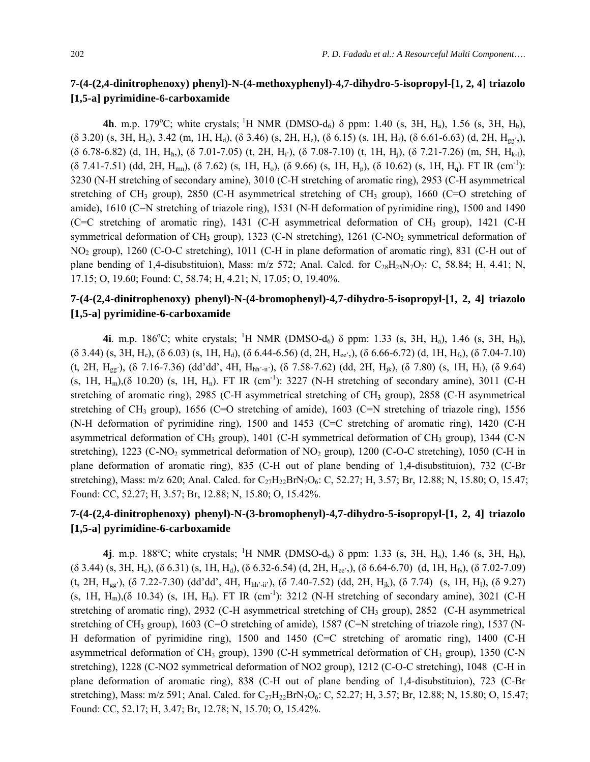### **7-(4-(2,4-dinitrophenoxy) phenyl)-N-(4-methoxyphenyl)-4,7-dihydro-5-isopropyl-[1, 2, 4] triazolo [1,5-a] pyrimidine-6-carboxamide**

**4h**. m.p. 179°C; white crystals; <sup>1</sup>H NMR (DMSO-d<sub>6</sub>)  $\delta$  ppm: 1.40 (s, 3H, H<sub>a</sub>), 1.56 (s, 3H, H<sub>b</sub>),  $( \delta$  3.20) (s, 3H, H<sub>c</sub>), 3.42 (m, 1H, H<sub>d</sub>), (δ 3.46) (s, 2H, H<sub>e</sub>), (δ 6.15) (s, 1H, H<sub>f</sub>), (δ 6.61-6.63) (d, 2H, H<sub>gg'</sub>),  $($ δ 6.78-6.82) (d, 1H, H<sub>h</sub>), (δ 7.01-7.05) (t, 2H, H<sub>i</sub>), (δ 7.08-7.10) (t, 1H, H<sub>i</sub>), (δ 7.21-7.26) (m, 5H, H<sub>k-l</sub>),  $( \delta$  7.41-7.51) (dd, 2H, H<sub>mn</sub>), ( $\delta$  7.62) (s, 1H, H<sub>0</sub>), ( $\delta$  9.66) (s, 1H, H<sub>p</sub>), ( $\delta$  10.62) (s, 1H, H<sub>q</sub>). FT IR (cm<sup>-1</sup>): 3230 (N-H stretching of secondary amine), 3010 (C-H stretching of aromatic ring), 2953 (C-H asymmetrical stretching of CH<sub>3</sub> group), 2850 (C-H asymmetrical stretching of CH<sub>3</sub> group), 1660 (C=O stretching of amide), 1610 (C=N stretching of triazole ring), 1531 (N-H deformation of pyrimidine ring), 1500 and 1490 (C=C stretching of aromatic ring), 1431 (C-H asymmetrical deformation of CH<sub>3</sub> group), 1421 (C-H symmetrical deformation of CH<sub>3</sub> group), 1323 (C-N stretching), 1261 (C-NO<sub>2</sub> symmetrical deformation of NO2 group), 1260 (C-O-C stretching), 1011 (C-H in plane deformation of aromatic ring), 831 (C-H out of plane bending of 1,4-disubstituion), Mass:  $m/z$  572; Anal. Calcd. for  $C_{28}H_{25}N_7O_7$ : C, 58.84; H, 4.41; N, 17.15; O, 19.60; Found: C, 58.74; H, 4.21; N, 17.05; O, 19.40%.

### **7-(4-(2,4-dinitrophenoxy) phenyl)-N-(4-bromophenyl)-4,7-dihydro-5-isopropyl-[1, 2, 4] triazolo [1,5-a] pyrimidine-6-carboxamide**

**4i**. m.p. 186<sup>o</sup>C; white crystals; <sup>1</sup>H NMR (DMSO-d<sub>6</sub>)  $\delta$  ppm: 1.33 (s, 3H, H<sub>a</sub>), 1.46 (s, 3H, H<sub>b</sub>),  $($ δ 3.44) (s, 3H, H<sub>c</sub>), (δ 6.03) (s, 1H, H<sub>d</sub>), (δ 6.44-6.56) (d, 2H, H<sub>ee'</sub>,), (δ 6.66-6.72) (d, 1H, H<sub>f</sub>), (δ 7.04-7.10) (t, 2H,  $H_{gg'}$ ), (δ 7.16-7.36) (dd'dd', 4H,  $H_{hh'-ii'}$ ), (δ 7.58-7.62) (dd, 2H,  $H_{ik}$ ), (δ 7.80) (s, 1H,  $H_l$ ), (δ 9.64) (s, 1H, H<sub>m</sub>),( $\delta$  10.20) (s, 1H, H<sub>n</sub>). FT IR (cm<sup>-1</sup>): 3227 (N-H stretching of secondary amine), 3011 (C-H stretching of aromatic ring), 2985 (C-H asymmetrical stretching of CH<sub>3</sub> group), 2858 (C-H asymmetrical stretching of CH<sub>3</sub> group), 1656 (C=O stretching of amide), 1603 (C=N stretching of triazole ring), 1556 (N-H deformation of pyrimidine ring), 1500 and 1453 (C=C stretching of aromatic ring), 1420 (C-H asymmetrical deformation of  $CH_3$  group), 1401 (C-H symmetrical deformation of  $CH_3$  group), 1344 (C-N stretching), 1223 (C-NO<sub>2</sub> symmetrical deformation of NO<sub>2</sub> group), 1200 (C-O-C stretching), 1050 (C-H in plane deformation of aromatic ring), 835 (C-H out of plane bending of 1,4-disubstituion), 732 (C-Br stretching), Mass: m/z 620; Anal. Calcd. for  $C_{27}H_{22}BrN_7O_6$ : C, 52.27; H, 3.57; Br, 12.88; N, 15.80; O, 15.47; Found: CC, 52.27; H, 3.57; Br, 12.88; N, 15.80; O, 15.42%.

## **7-(4-(2,4-dinitrophenoxy) phenyl)-N-(3-bromophenyl)-4,7-dihydro-5-isopropyl-[1, 2, 4] triazolo [1,5-a] pyrimidine-6-carboxamide**

**4j**. m.p. 188°C; white crystals; <sup>1</sup>H NMR (DMSO-d<sub>6</sub>) δ ppm: 1.33 (s, 3H, H<sub>a</sub>), 1.46 (s, 3H, H<sub>b</sub>),  $(6\ 3.44)$  (s, 3H, H<sub>c</sub>),  $(8\ 6.31)$  (s, 1H, H<sub>d</sub>),  $(8\ 6.32-6.54)$  (d, 2H, H<sub>ee'</sub>,),  $(8\ 6.64-6.70)$  (d, 1H, H<sub>f</sub>),  $(8\ 7.02-7.09)$ (t, 2H, H<sub>gg</sub>'), (δ 7.22-7.30) (dd'dd', 4H, H<sub>hh'-ii</sub>'), (δ 7.40-7.52) (dd, 2H, H<sub>ik</sub>), (δ 7.74) (s, 1H, H<sub>1</sub>), (δ 9.27) (s, 1H,  $H_m$ ),(δ 10.34) (s, 1H,  $H_n$ ). FT IR (cm<sup>-1</sup>): 3212 (N-H stretching of secondary amine), 3021 (C-H stretching of aromatic ring), 2932 (C-H asymmetrical stretching of CH<sub>3</sub> group), 2852 (C-H asymmetrical stretching of CH<sub>3</sub> group), 1603 (C=O stretching of amide), 1587 (C=N stretching of triazole ring), 1537 (N-H deformation of pyrimidine ring), 1500 and 1450 (C=C stretching of aromatic ring), 1400 (C-H asymmetrical deformation of CH<sub>3</sub> group), 1390 (C-H symmetrical deformation of CH<sub>3</sub> group), 1350 (C-N stretching), 1228 (C-NO2 symmetrical deformation of NO2 group), 1212 (C-O-C stretching), 1048 (C-H in plane deformation of aromatic ring), 838 (C-H out of plane bending of 1,4-disubstituion), 723 (C-Br stretching), Mass: m/z 591; Anal. Calcd. for  $C_{27}H_{22}BrN_7O_6$ : C, 52.27; H, 3.57; Br, 12.88; N, 15.80; O, 15.47; Found: CC, 52.17; H, 3.47; Br, 12.78; N, 15.70; O, 15.42%.